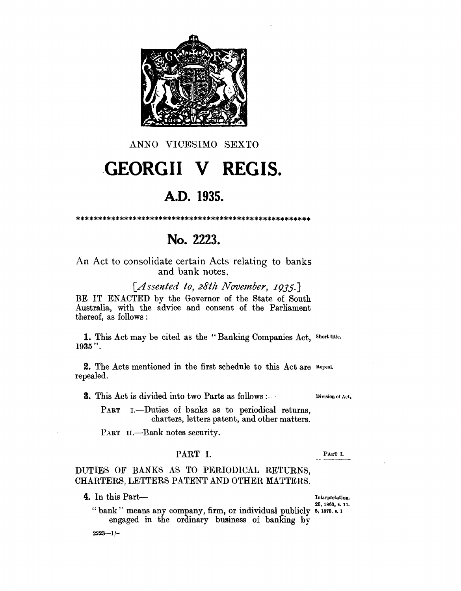

### ANNO VICESIMO SEXTO

# **GEORGII V REGIS.**

# A.D. 1935.

# No. 2223.

An Act to consolidate certain Acts relating to banks and bank notes.

[Assented to, 28th November, 1935.] BE IT ENACTED by the Governor of the State of South Australia, with the advice and consent of the Parliament thereof, as follows:

1. This Act may be cited as the "Banking Companies Act, Short title.  $1935$ ".

2. The Acts mentioned in the first schedule to this Act are Repeal. repealed.

**3.** This Act is divided into two Parts as follows :-

Division of Act.

PART 1. - Duties of banks as to periodical returns, charters, letters patent, and other matters.

PART II. -- Bank notes security.

#### PART I.

PART I.

## DUTIES OF BANKS AS TO PERIODICAL RETURNS, CHARTERS, LETTERS PATENT AND OTHER MATTERS.

4. In this Part-

Interpretation. 25, 1863, в. 11.

"bank" means any company, firm, or individual publicly 5, 1875, s. 1 engaged in the ordinary business of banking by

 $2223 - 1/-$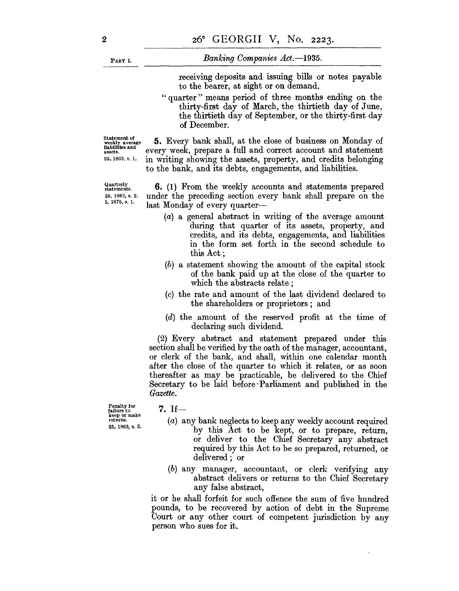PART 1.

#### *Banking Companies Act.-1935.*

receiving deposits and issuing bills or notes payable to the bearer, at sight or on demand.

"quarter" means period of three months ending on the thirty-first day of March, the thirtieth day of June, the thirtieth day of September, or the thirty-first day of December.

Statement of weekly average liabtllties and assets. 25. 1863, s. 1.

Quarterly statements. 25, 1863, s. 2. 5, 1875, s. 1.

**S.** Every bank shall, at the close of business on Monday of every week, prepare a full and correct account and statement in writing showing the assets, property, and credits belonging to the bank, and its debts, engagements, and liabilities.

**6.** (1) From the weekly accounts and statements prepared under the preceding section every bank shall prepare on the last Monday of every quarter-

- (a) a general abstract in writing of the average amount during that quarter of its assets, property, and credits, and its debts, engagements, and liabilities in the form set forth in the second schedule to this Act;
- (b) a statement showing the amount of the capital stock of the bank paid up at the close of the quarter to which the abstracts relate;
- (c) the rate and amount of the last dividend declared to the shareholders or proprietors; and
- (d) the amount of the reserved profit at the time of declaring such dividend.

(2) Every abstract and statement prepared under this section shall be verified by the oath of the manager, accountant, or clerk of the bank, and shall, within one calendar month after the close of the quarter to which it relates, or as soon thereafter as may be practicable, be delivered to the Chief Secretary to be laid before' Parliament and published in the *Gazette.* 

Penalty for failure to keep or make returns. 25, 1863, s. 3.

#### $7.$  If-

- (a) any bank neglects to keep any weekly account required by this Act to be kept, or to prepare, return, or deliver to the Chief Secretary any abstract required by this Act to be so prepared, returned, or delivered; or
- (b) any manager, accountant, or clerk verifying any abstract delivers or returns to the Chief Secretary any false abstract,

it or he shall forfeit for such offence the sum of five hundred pounds, to be recovered by action of debt in the Supreme Court or any other court of competent jurisdiction by any person who sues for it.

2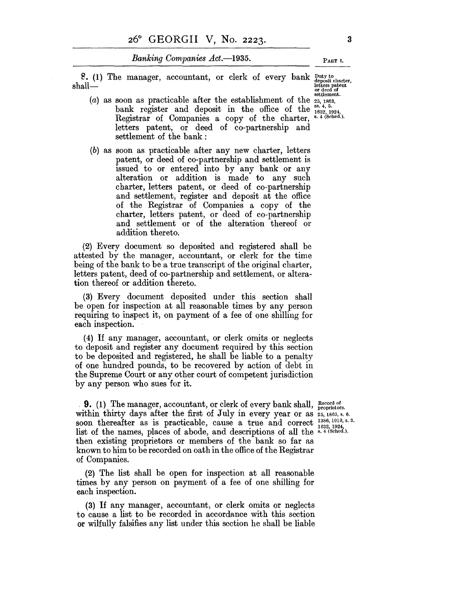*Banking Companies Act.*-1935. PART I.

8. (1) The manager, accountant, or clerk of every bank  $\frac{Duty}{depos}$  then  $shall$ —

- (a) as soon as practicable after the establishment of the  $_{25,1863,25}^{25,1863,1863}$ bank register and deposit in the office of the  $^{88.4, 5.}_{1632, 1924}$ , Registrar of Companies a copy of the charter,  $^{8.4}$  (Sehed.). letters patent, or deed of co-partnership and settlement of the bank:
- (b) as soon as practicable after any new charter, letters patent, or deed of co-partnership and settlement is issued to or entered into by any bank or any alteration or addition is made to any such charter, letters patent, or deed of co-partnership and settlement, register and deposit at the office of the Registrar of Companies a copy of the charter, letters patent, or deed of co-partnership and settlement or of the alteration thereof or addition thereto.

(2) Every document so deposited and registered shall be attested by the manager, accountant, or clerk for the time being of the bank to be a true transcript of the original charter, letters patent, deed of co-partnership and settlement, or alteration thereof or addition thereto.

(3) Every document deposited under this section shall be open for inspection at all reasonable times by any person requiring to inspect it, on payment of a fee of one shilling for each inspection.

(4) If any manager, accountant, or clerk omits or neglects to deposit and register any document required by this section to be deposited and registered, he shall be liable to a penalty of one hundred pounds, to be recovered by action of debt in the Supreme Court or any other court of competent jurisdiction by any person who sues for it.

9. (1) The manager, accountant, or clerk of every bank shall, Record of proprietors. within thirty days after the first of July in every year or as  $25, 1863, s. 6$ . soon thereafter as is practicable, cause a true and correct  $\frac{1386}{1632, 1924}$ , list of the names, places of abode, and descriptions of all the s. 4 (Sehed.). then existing proprietors or members of the bank so far as known to him to be recorded on oath in the office of the Registrar of Companies.

(2) The list shall be open for inspection at all reasonable times by any person on payment of a fee of one shilling for each inspection.

(3) If any manager, accountant, or clerk omits or neglects to cause a list to be recorded in accordance with this section or wilfully falsifies any list under this section he shall be liable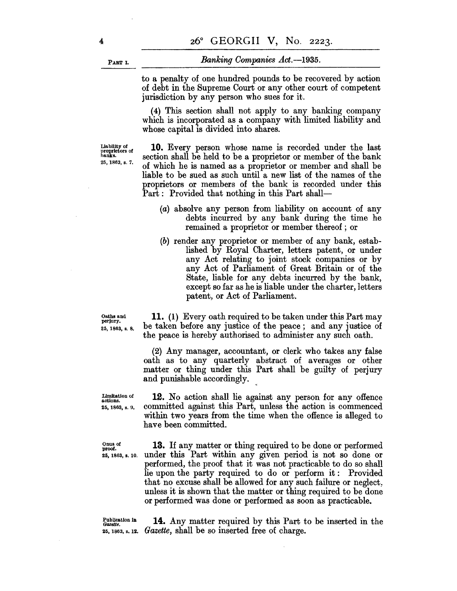PART I.

#### *Banking Companies Act.-1935.*

to a penalty of one hundred pounds to be recovered by action of debt in the Supreme Court or any other court of competent jurisdiction by any person who sues for it.

(4) This section shall not apply to any banking company which is incorporated as a company with limited liability and whose capital is divided into shares.

liability of proprietors of hanks. 25, 1863, s. 7.

**10.** Every person whose name is recorded under the last section shall be held to be a proprietor or member of the bank of which he is named as a proprietor or member and shall be liable to be sued as such until a new list of the names of the proprietors or members of the bank is recorded under this Part: Provided that nothing in this Part shall-

- (a) absolve any person from liability on account of any debts incurred by any bank during the time he remained a proprietor or member thereof; or
- (b) render any proprietor or member of any bank, established by Royal Charter, letters patent, or under any Act relating to joint stock companies or by any Act of Parliament of Great Britain or of the State, liable for any debts incurred by the bank, except so far as he is liable under the charter, letters patent, or Act of Parliament.

Oaths and perjury. 25, 1863, 8. 8.

**11.** (1) Every oath required to be taken under this Part may be taken before any justice of the peace; and any justice of the peace is hereby authorised to administer any such oath.

(2) Any manager, accountant, or clerk who takes any false oath as to any quarterly abstract of averages or other matter or thing under this Part shall be guilty of perjury and punishable accordingly.

Limitation of actions. 25, 1863, s. 9,

Onus of proof.

**12.** No action shall lie against any person for any offence committed against this Part, unless the action is commenced within two years from the time when the offence is alleged to have been committed.

25, 1863, s. 10. **13.** If any matter or thing required to be done or performed under this Part within any given period is not so done or performed, the proof that it was not practicable to do so shall lie upon the party required to do or perform it: Provided that no excuse shall be allowed for any such failure or neglect. unless it is shown that the matter or thing required to be done or performed was done or performed as soon as practicable.

Publication in *Gazette.* 

25, 1863, s. 12. *Gazette*, shall be so inserted free of charge. **14.** Any matter required by this Part to be inserted in the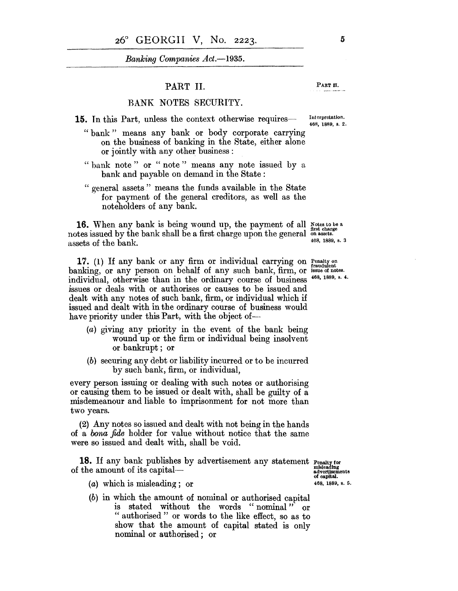*Banking Companies Act.-1935.* 

#### PART **II.** PART II.

#### BANK NOTES SECURITY.

- **15.** In this Part, unless the context otherwise requires-- Interpretation.
	- " bank" means any bank or body corporate carrying on the business of banking in the State, either alone or jointly with any other business:
	- "bank note" or "note" means any note issued by a bank and payable on demand in the State:
	- " general assets" means the funds available in the State for payment of the general creditors, as well as the noteholders of any bank.

**16.** When any bank is being wound up, the payment of all Notes to be a <sup>a</sup> first charge notes issued by the bank shall be a first charge upon the general on assets. assets of the bank.  $408, 1889, s. 3$ 

17. (1) If any bank or any firm or individual carrying on Penatty on banking, or any person on behalf of any such bank, firm, or issue of notes. individual, otherwise than in the ordinary course of business  $468, 1889, s.$  4. issues or deals with or authorises or causes to be issued and dealt with any notes of such bank, firm, or individual which if issued and dealt with in the ordinary course of business would have priority under this Part, with the object of-

- (a) giving any priority in the event of the bank being wound up or the firm or individual being insolvent or bankrupt; or
- (b) securing any debt or liability incurred or to be incurred by such bank, firm, or individual,

every person issuing or dealing with such notes or authorising or causing them to be issued or dealt with, shall be guilty of a misdemeanour and liable to imprisonment for not more than two years.

(2) Any notes so issued and dealt with not being in the hands of a *bona fide* holder for value without notice that the same were so issued and dealt with, shall be void.

**18.** If any bank publishes by advertisement any statement Penalty for for the amount of its capital—<br>of the amount of its capital—

advertisements<br>of capital.<br>468, 1889, s. 5.

(a) which is misleading; or

(b) in which the amount of nominal or authorised capital is stated without the words "nominal" or " authorised" or words to the like effect, so as to show that the amount of capital stated is only nominal or authorised; or

468, 1889, s. 2.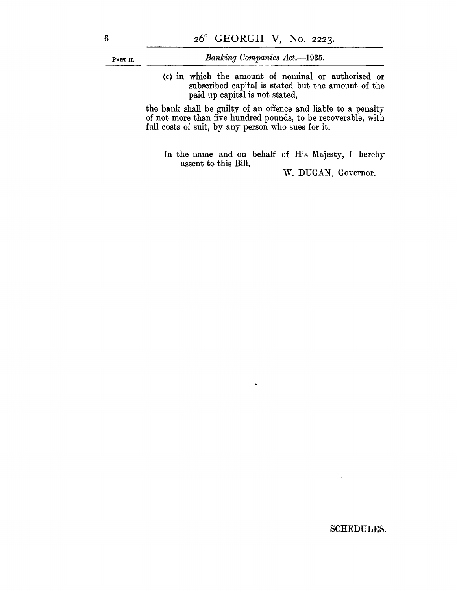PART II.

*Banking Companies Act.-1935.* 

(c) in which the amount of nominal or authorised or subscribed capital is stated but the amount of the paid up capital is not stated,

the bank shall be guilty of an offence and liable to a penalty of not more than five hundred pounds, to be recoverable, with full costs of suit, by any person who sues for it.

In the name and on behalf of His Majesty, I herehy assent to this Bill.

W. DUGAN, Governor.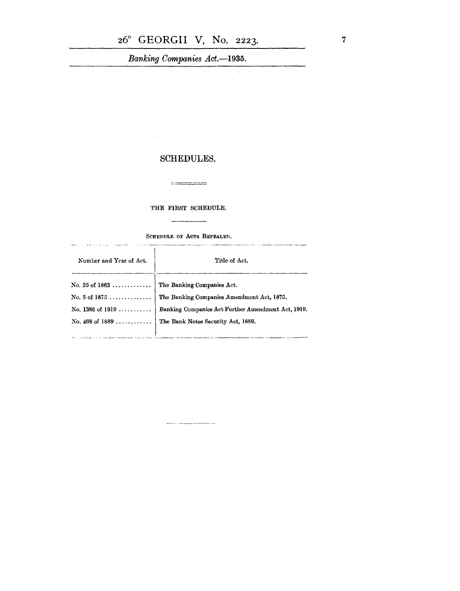Banking Companies Act.-1935.

 $\ddot{\phantom{a}}$ 

### **SCHEDULES.**

 $\mathcal{L}^{\mathcal{L}}$ 

 $\mathcal{A}$ 

#### THE FIRST SCHEDULE.

 $\sim$ 

SCHEDULE OF ACTS REPEALED.

| Title of Act.                                                          |
|------------------------------------------------------------------------|
| No. 25 of 1863  The Banking Companies Act.                             |
| No. 5 of 1875  The Banking Companies Amendment Act, 1875.              |
| No. 1386 of 1919    Banking Companies Act Further Amendment Act, 1919. |
| No. 468 of 1889  The Bank Notes Security Act, 1889.                    |
|                                                                        |

 $\label{eq:3} \frac{1}{2} \left( \frac{1}{2} \left( \frac{1}{2} \left( \frac{1}{2} \right) + \frac{1}{2} \left( \frac{1}{2} \left( \frac{1}{2} \right) + \frac{1}{2} \left( \frac{1}{2} \right) + \frac{1}{2} \left( \frac{1}{2} \right) + \frac{1}{2} \left( \frac{1}{2} \right) + \frac{1}{2} \left( \frac{1}{2} \right) + \frac{1}{2} \left( \frac{1}{2} \right) + \frac{1}{2} \left( \frac{1}{2} \right) + \frac{1}{2} \left( \frac{1}{$ 

 $\sim$ 

 $\mathcal{A}^{\mathcal{A}}$